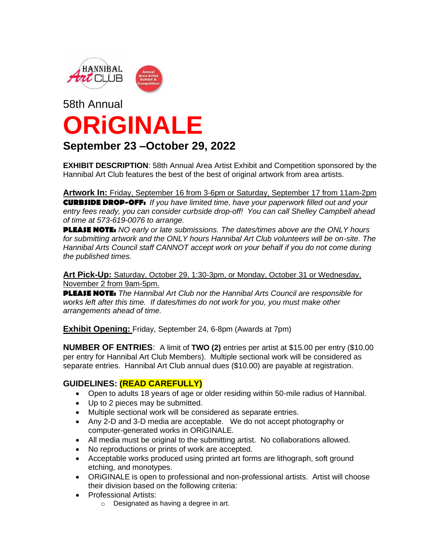

# 58th Annual **ORiGINALE**

### **September 23 –October 29, 2022**

**EXHIBIT DESCRIPTION**: 58th Annual Area Artist Exhibit and Competition sponsored by the Hannibal Art Club features the best of the best of original artwork from area artists.

**Artwork In:** Friday, September 16 from 3-6pm or Saturday, September 17 from 11am-2pm **CURBSIDE DROP-OFF:** *If you have limited time, have your paperwork filled out and your entry fees ready, you can consider curbside drop-off! You can call Shelley Campbell ahead of time at 573-619-0076 to arrange.* 

**PLEASE NOTE:** *NO early or late submissions. The dates/times above are the ONLY hours for submitting artwork and the ONLY hours Hannibal Art Club volunteers will be on-site. The Hannibal Arts Council staff CANNOT accept work on your behalf if you do not come during the published times.* 

**Art Pick-Up:** Saturday, October 29, 1:30-3pm, or Monday, October 31 or Wednesday, November 2 from 9am-5pm.

**PLEASE NOTE:** *The Hannibal Art Club nor the Hannibal Arts Council are responsible for works left after this time. If dates/times do not work for you, you must make other arrangements ahead of time.*

**Exhibit Opening:** Friday, September 24, 6-8pm (Awards at 7pm)

**NUMBER OF ENTRIES**: A limit of **TWO (2)** entries per artist at \$15.00 per entry (\$10.00 per entry for Hannibal Art Club Members). Multiple sectional work will be considered as separate entries. Hannibal Art Club annual dues (\$10.00) are payable at registration.

#### **GUIDELINES: (READ CAREFULLY)**

- Open to adults 18 years of age or older residing within 50-mile radius of Hannibal.
- Up to 2 pieces may be submitted.
- Multiple sectional work will be considered as separate entries.
- Any 2-D and 3-D media are acceptable. We do not accept photography or computer-generated works in ORiGINALE.
- All media must be original to the submitting artist. No collaborations allowed.
- No reproductions or prints of work are accepted.
- Acceptable works produced using printed art forms are lithograph, soft ground etching, and monotypes.
- ORiGINALE is open to professional and non-professional artists. Artist will choose their division based on the following criteria:
- Professional Artists:
	- o Designated as having a degree in art.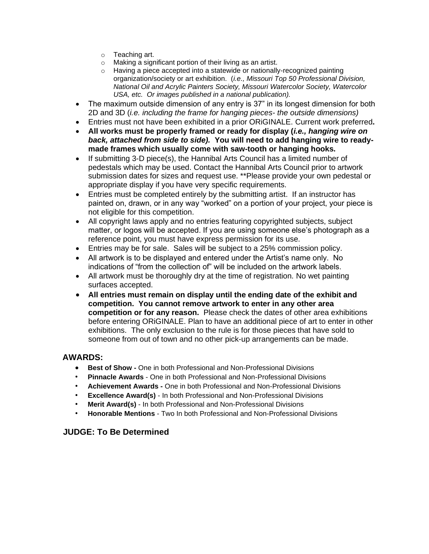- o Teaching art.<br>o Making a sigr
- Making a significant portion of their living as an artist.
- o Having a piece accepted into a statewide or nationally-recognized painting organization/society or art exhibition. (*i.e., Missouri Top 50 Professional Division, National Oil and Acrylic Painters Society, Missouri Watercolor Society, Watercolor USA, etc. Or images published in a national publication).*
- The maximum outside dimension of any entry is 37" in its longest dimension for both 2D and 3D (*i.e. including the frame for hanging pieces- the outside dimensions)*
- Entries must not have been exhibited in a prior ORiGINALE. Current work preferred**.**
- **All works must be properly framed or ready for display (***i.e., hanging wire on back, attached from side to side).* **You will need to add hanging wire to readymade frames which usually come with saw-tooth or hanging hooks.**
- If submitting 3-D piece(s), the Hannibal Arts Council has a limited number of pedestals which may be used. Contact the Hannibal Arts Council prior to artwork submission dates for sizes and request use. \*\*Please provide your own pedestal or appropriate display if you have very specific requirements.
- Entries must be completed entirely by the submitting artist. If an instructor has painted on, drawn, or in any way "worked" on a portion of your project, your piece is not eligible for this competition.
- All copyright laws apply and no entries featuring copyrighted subjects, subject matter, or logos will be accepted. If you are using someone else's photograph as a reference point, you must have express permission for its use.
- Entries may be for sale. Sales will be subject to a 25% commission policy.
- All artwork is to be displayed and entered under the Artist's name only. No indications of "from the collection of" will be included on the artwork labels.
- All artwork must be thoroughly dry at the time of registration. No wet painting surfaces accepted.
- **All entries must remain on display until the ending date of the exhibit and competition. You cannot remove artwork to enter in any other area competition or for any reason.** Please check the dates of other area exhibitions before entering ORiGINALE. Plan to have an additional piece of art to enter in other exhibitions. The only exclusion to the rule is for those pieces that have sold to someone from out of town and no other pick-up arrangements can be made.

#### **AWARDS:**

- **Best of Show -** One in both Professional and Non-Professional Divisions
- **Pinnacle Awards**  One in both Professional and Non-Professional Divisions
- **Achievement Awards -** One in both Professional and Non-Professional Divisions
- **Excellence Award(s)** In both Professional and Non-Professional Divisions
- **Merit Award(s)**  In both Professional and Non-Professional Divisions
- **Honorable Mentions** Two In both Professional and Non-Professional Divisions

#### **JUDGE: To Be Determined**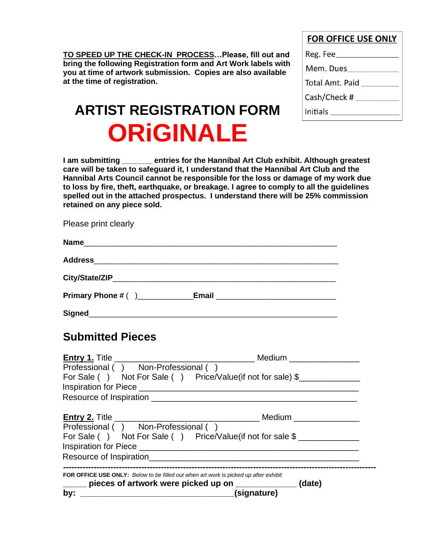**TO SPEED UP THE CHECK-IN PROCESS…Please, fill out and bring the following Registration form and Art Work labels with you at time of artwork submission. Copies are also available at the time of registration.**

|  |  | <b>FOR OFFICE USE ONLY</b> |  |  |
|--|--|----------------------------|--|--|
|--|--|----------------------------|--|--|

| Reg. Fee___     |
|-----------------|
| Mem. Dues       |
| Total Amt. Paid |
| Cash/Check #    |
| Initials        |

# **ARTIST REGISTRATION FORM ORiGINALE**

**I am submitting \_\_\_\_\_\_\_ entries for the Hannibal Art Club exhibit. Although greatest care will be taken to safeguard it, I understand that the Hannibal Art Club and the Hannibal Arts Council cannot be responsible for the loss or damage of my work due to loss by fire, theft, earthquake, or breakage. I agree to comply to all the guidelines spelled out in the attached prospectus. I understand there will be 25% commission retained on any piece sold.**

Please print clearly

| City/State/ZIP     |  |
|--------------------|--|
| Primary Phone # () |  |

**Signed**\_\_\_\_\_\_\_\_\_\_\_\_\_\_\_\_\_\_\_\_\_\_\_\_\_\_\_\_\_\_\_\_\_\_\_\_\_\_\_\_\_\_\_\_\_\_\_\_\_\_\_\_\_\_\_\_\_\_

## **Submitted Pieces**

| Professional () Non-Professional ()                                                                                                             |
|-------------------------------------------------------------------------------------------------------------------------------------------------|
| For Sale () Not For Sale () Price/Value(if not for sale) \$                                                                                     |
|                                                                                                                                                 |
|                                                                                                                                                 |
|                                                                                                                                                 |
| Professional () Non-Professional ()                                                                                                             |
| For Sale () Not For Sale () Price/Value(if not for sale \$                                                                                      |
|                                                                                                                                                 |
|                                                                                                                                                 |
| FOR OFFICE USE ONLY: Below to be filled out when art work is picked up after exhibit<br>pieces of artwork were picked up on _____________(date) |
| (signature)                                                                                                                                     |